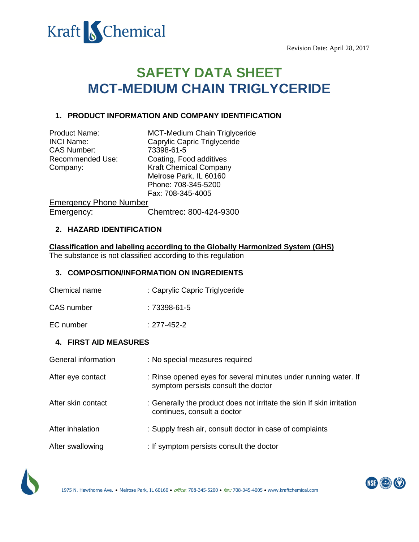

# **SAFETY DATA SHEET MCT-MEDIUM CHAIN TRIGLYCERIDE**

## **1. PRODUCT INFORMATION AND COMPANY IDENTIFICATION**

| <b>Product Name:</b> | MCT-Medium Chain Triglyceride |
|----------------------|-------------------------------|
| <b>INCI Name:</b>    | Caprylic Capric Triglyceride  |
| <b>CAS Number:</b>   | 73398-61-5                    |
| Recommended Use:     | Coating, Food additives       |
| Company:             | <b>Kraft Chemical Company</b> |
|                      | Melrose Park, IL 60160        |
|                      | Phone: 708-345-5200           |
|                      | Fax: 708-345-4005             |
|                      |                               |

Emergency Phone Number Emergency: Chemtrec: 800-424-9300

## **2. HAZARD IDENTIFICATION**

**Classification and labeling according to the Globally Harmonized System (GHS)** The substance is not classified according to this regulation

#### **3. COMPOSITION/INFORMATION ON INGREDIENTS**

Chemical name : Caprylic Capric Triglyceride

CAS number : 73398-61-5

EC number : 277-452-2

#### **4. FIRST AID MEASURES**

| General information | : No special measures required                                                                         |
|---------------------|--------------------------------------------------------------------------------------------------------|
| After eye contact   | : Rinse opened eyes for several minutes under running water. If<br>symptom persists consult the doctor |
| After skin contact  | : Generally the product does not irritate the skin If skin irritation<br>continues, consult a doctor   |
| After inhalation    | : Supply fresh air, consult doctor in case of complaints                                               |
| After swallowing    | : If symptom persists consult the doctor                                                               |



1975 N. Hawthorne Ave. • Melrose Park, IL 60160 • office: 708-345-5200 • fax: 708-345-4005 • www.kraftchemical.com

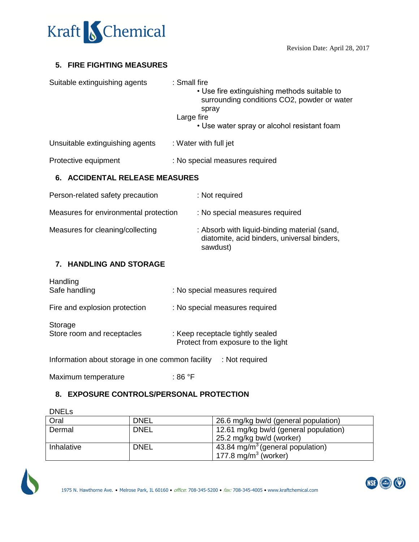

## **5. FIRE FIGHTING MEASURES**

| Suitable extinguishing agents   | : Small fire<br>• Use fire extinguishing methods suitable to<br>surrounding conditions CO2, powder or water<br>spray |
|---------------------------------|----------------------------------------------------------------------------------------------------------------------|
|                                 | Large fire<br>• Use water spray or alcohol resistant foam                                                            |
| Unsuitable extinguishing agents | : Water with full jet                                                                                                |

Protective equipment : No special measures required

## **6. ACCIDENTAL RELEASE MEASURES**

| Person-related safety precaution      | : Not required                                                                                          |
|---------------------------------------|---------------------------------------------------------------------------------------------------------|
| Measures for environmental protection | : No special measures required                                                                          |
| Measures for cleaning/collecting      | : Absorb with liquid-binding material (sand,<br>diatomite, acid binders, universal binders,<br>sawdust) |

# **7. HANDLING AND STORAGE**

| Handling<br>Safe handling             | : No special measures required                                         |
|---------------------------------------|------------------------------------------------------------------------|
| Fire and explosion protection         | : No special measures required                                         |
| Storage<br>Store room and receptacles | : Keep receptacle tightly sealed<br>Protect from exposure to the light |

Information about storage in one common facility : Not required

Maximum temperature : 86 °F

#### **8. EXPOSURE CONTROLS/PERSONAL PROTECTION**

| <b>DNELS</b> |             |                                              |
|--------------|-------------|----------------------------------------------|
| Oral         | <b>DNEL</b> | 26.6 mg/kg bw/d (general population)         |
| Dermal       | <b>DNEL</b> | 12.61 mg/kg bw/d (general population)        |
|              |             | 25.2 mg/kg bw/d (worker)                     |
| Inhalative   | <b>DNEL</b> | 43.84 mg/m <sup>3</sup> (general population) |
|              |             | 177.8 mg/m <sup>3</sup> (worker)             |



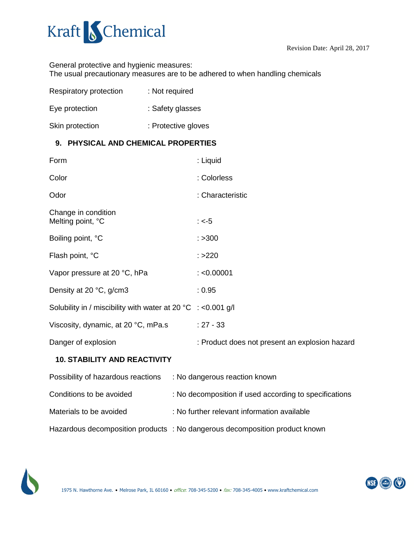

General protective and hygienic measures: The usual precautionary measures are to be adhered to when handling chemicals

| <b>Respiratory protection</b> | : Not required      |
|-------------------------------|---------------------|
| Eye protection                | : Safety glasses    |
| Skin protection               | : Protective gloves |

## **9. PHYSICAL AND CHEMICAL PROPERTIES**

| Form                                                              |  | : Liquid                                               |
|-------------------------------------------------------------------|--|--------------------------------------------------------|
| Color                                                             |  | : Colorless                                            |
| Odor                                                              |  | : Characteristic                                       |
| Change in condition<br>Melting point, °C                          |  | : $<-5$                                                |
| Boiling point, °C                                                 |  | : >300                                                 |
| Flash point, °C                                                   |  | : >220                                                 |
| Vapor pressure at 20 °C, hPa                                      |  | : < 0.00001                                            |
| Density at 20 °C, g/cm3                                           |  | : 0.95                                                 |
| Solubility in / miscibility with water at 20 °C $\div$ <0.001 g/l |  |                                                        |
| Viscosity, dynamic, at 20 °C, mPa.s                               |  | $: 27 - 33$                                            |
| Danger of explosion                                               |  | : Product does not present an explosion hazard         |
| <b>10. STABILITY AND REACTIVITY</b>                               |  |                                                        |
| Possibility of hazardous reactions                                |  | : No dangerous reaction known                          |
| Conditions to be avoided                                          |  | : No decomposition if used according to specifications |

Materials to be avoided : No further relevant information available

Hazardous decomposition products : No dangerous decomposition product known



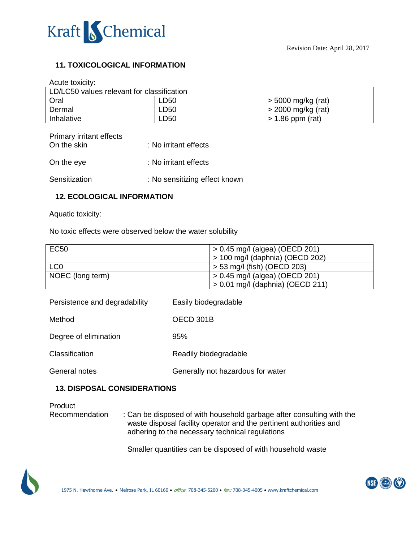

## **11. TOXICOLOGICAL INFORMATION**

Acute toxicity:

| LD/LC50 values relevant for classification |                  |                      |
|--------------------------------------------|------------------|----------------------|
| Oral                                       | LD50             | > 5000 mg/kg (rat)   |
| Dermal                                     | LD <sub>50</sub> | $>$ 2000 mg/kg (rat) |
| Inhalative                                 | LD50             | $> 1.86$ ppm (rat)   |

| Primary irritant effects |                       |
|--------------------------|-----------------------|
| On the skin              | : No irritant effects |
|                          |                       |
| On the eye               | : No irritant effects |
|                          |                       |
|                          |                       |

Sensitization : No sensitizing effect known

# **12. ECOLOGICAL INFORMATION**

Aquatic toxicity:

No toxic effects were observed below the water solubility

| <b>EC50</b>      | $\vert$ > 0.45 mg/l (algea) (OECD 201)   |
|------------------|------------------------------------------|
|                  | $\vert$ > 100 mg/l (daphnia) (OECD 202)  |
| LC <sub>0</sub>  | $>$ 53 mg/l (fish) (OECD 203)            |
| NOEC (long term) | $\vert$ > 0.45 mg/l (algea) (OECD 201)   |
|                  | $\vert$ > 0.01 mg/l (daphnia) (OECD 211) |

| Persistence and degradability | Easily biodegradable              |
|-------------------------------|-----------------------------------|
| Method                        | OECD 301B                         |
| Degree of elimination         | 95%                               |
| Classification                | Readily biodegradable             |
| General notes                 | Generally not hazardous for water |

## **13. DISPOSAL CONSIDERATIONS**

Product Recommendation : Can be disposed of with household garbage after consulting with the waste disposal facility operator and the pertinent authorities and adhering to the necessary technical regulations

Smaller quantities can be disposed of with household waste